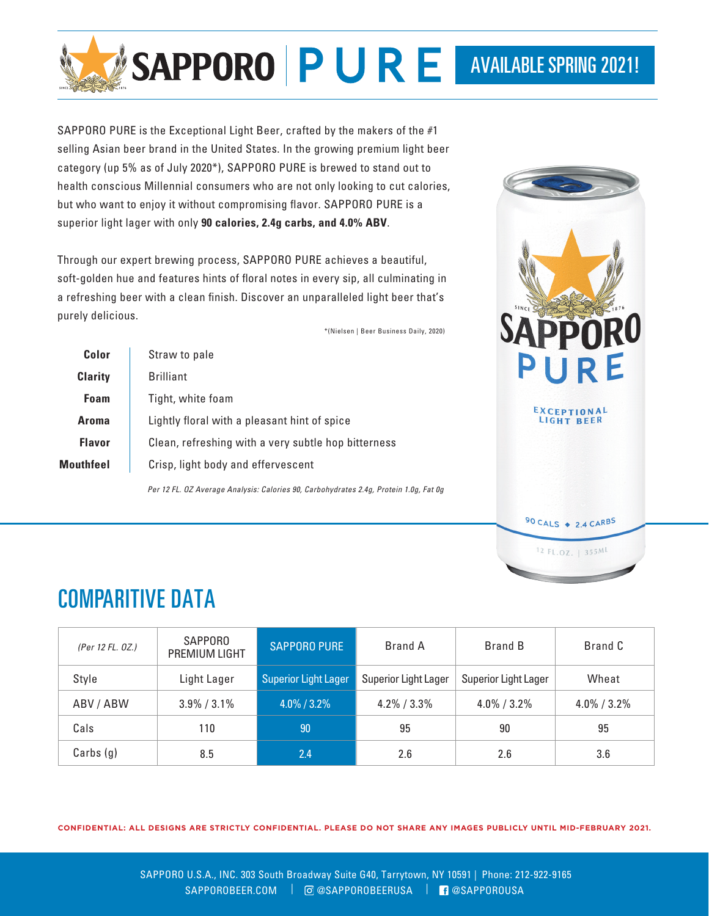

SAPPORO PURE is the Exceptional Light Beer, crafted by the makers of the #1 selling Asian beer brand in the United States. In the growing premium light beer category (up 5% as of July 2020\*), SAPPORO PURE is brewed to stand out to health conscious Millennial consumers who are not only looking to cut calories, but who want to enjoy it without compromising flavor. SAPPORO PURE is a superior light lager with only **90 calories, 2.4g carbs, and 4.0% ABV**.

Through our expert brewing process, SAPPORO PURE achieves a beautiful, soft-golden hue and features hints of floral notes in every sip, all culminating in a refreshing beer with a clean finish. Discover an unparalleled light beer that's purely delicious.

\*(Nielsen | Beer Business Daily, 2020)

| Color            | Straw to pale                                       |  |  |  |  |  |
|------------------|-----------------------------------------------------|--|--|--|--|--|
| <b>Clarity</b>   | <b>Brilliant</b>                                    |  |  |  |  |  |
| Foam             | Tight, white foam                                   |  |  |  |  |  |
| Aroma            | Lightly floral with a pleasant hint of spice        |  |  |  |  |  |
| <b>Flavor</b>    | Clean, refreshing with a very subtle hop bitterness |  |  |  |  |  |
| <b>Mouthfeel</b> | Crisp, light body and effervescent                  |  |  |  |  |  |
|                  |                                                     |  |  |  |  |  |

*Per 12 FL. OZ Average Analysis: Calories 90, Carbohydrates 2.4g, Protein 1.0g, Fat 0g*



## COMPARITIVE DATA

| (Per 12 FL. 0Z.) | <b>SAPPORO</b><br><b>PREMIUM LIGHT</b> | <b>SAPPORO PURE</b>                                 | Brand A         | <b>Brand B</b>       | Brand C        |  |
|------------------|----------------------------------------|-----------------------------------------------------|-----------------|----------------------|----------------|--|
| Style            | Light Lager                            | <b>Superior Light Lager</b><br>Superior Light Lager |                 | Superior Light Lager | Wheat          |  |
| ABV/ABW          | $3.9\% / 3.1\%$                        | $4.0\%$ / 3.2%                                      | $4.2\% / 3.3\%$ | $4.0\%$ / 3.2%       | $4.0\%$ / 3.2% |  |
| Cals             | 110                                    | 90                                                  | 95              | 90                   | 95             |  |
| Carbs(g)         | 8.5                                    | 2.4                                                 | 2.6             | 2.6                  | 3.6            |  |

**CONFIDENTIAL: ALL DESIGNS ARE STRICTLY CONFIDENTIAL. PLEASE DO NOT SHARE ANY IMAGES PUBLICLY UNTIL MID-FEBRUARY 2021.**